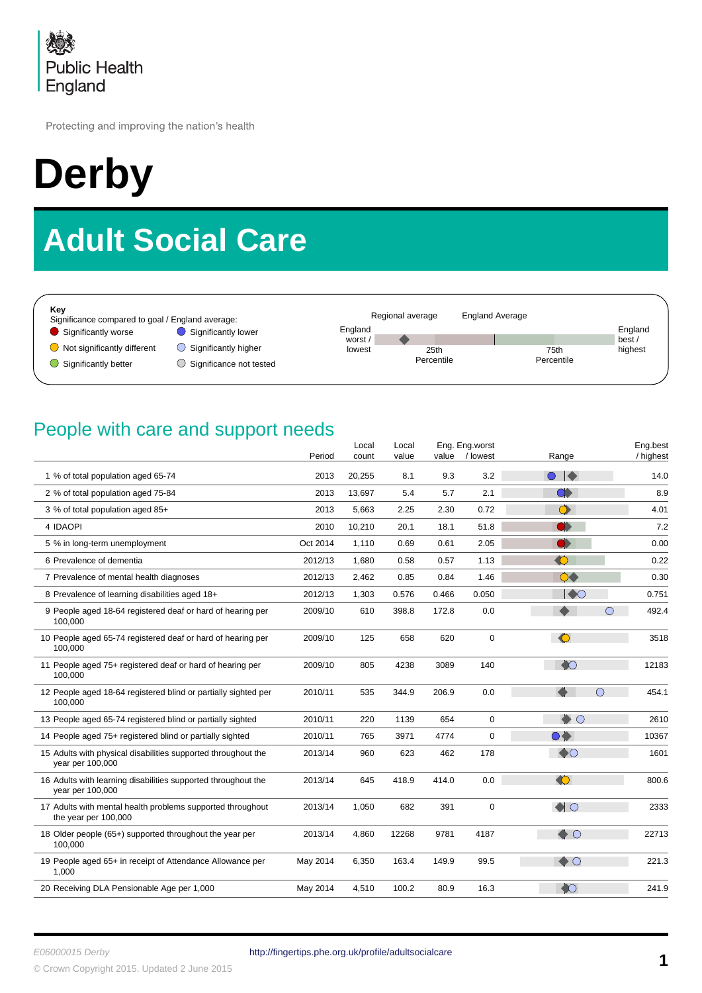

Protecting and improving the nation's health

# **Derby**

# **Adult Social Care**

| Kev<br>Significance compared to goal / England average: |                         |                    | Regional average | <b>England Average</b> |                  |
|---------------------------------------------------------|-------------------------|--------------------|------------------|------------------------|------------------|
| Significantly worse                                     | Significantly lower     | England<br>worst / |                  |                        | England<br>best/ |
| $\Box$ Not significantly different                      | Significantly higher    | lowest             | 25th             | 75th                   | highest          |
| Significantly better                                    | Significance not tested |                    | Percentile       | Percentile             |                  |

#### People with care and support needs

|                                                                                    | Period   | Local<br>count | Local<br>value | value | Eng. Eng.worst<br>/ lowest | Range                 | Eng.best<br>/ highest |
|------------------------------------------------------------------------------------|----------|----------------|----------------|-------|----------------------------|-----------------------|-----------------------|
| 1 % of total population aged 65-74                                                 | 2013     | 20,255         | 8.1            | 9.3   | 3.2                        | $\bullet\bullet$      | 14.0                  |
| 2 % of total population aged 75-84                                                 | 2013     | 13,697         | 5.4            | 5.7   | 2.1                        | $\bullet$             | 8.9                   |
| 3 % of total population aged 85+                                                   | 2013     | 5,663          | 2.25           | 2.30  | 0.72                       | $\bullet$             | 4.01                  |
| 4 IDAOPI                                                                           | 2010     | 10,210         | 20.1           | 18.1  | 51.8                       | D)                    | 7.2                   |
| 5 % in long-term unemployment                                                      | Oct 2014 | 1,110          | 0.69           | 0.61  | 2.05                       | O                     | 0.00                  |
| 6 Prevalence of dementia                                                           | 2012/13  | 1,680          | 0.58           | 0.57  | 1.13                       | $\bullet$             | 0.22                  |
| 7 Prevalence of mental health diagnoses                                            | 2012/13  | 2,462          | 0.85           | 0.84  | 1.46                       | $\bullet\bullet$      | 0.30                  |
| 8 Prevalence of learning disabilities aged 18+                                     | 2012/13  | 1,303          | 0.576          | 0.466 | 0.050                      | $\blacktriangleright$ | 0.751                 |
| 9 People aged 18-64 registered deaf or hard of hearing per<br>100,000              | 2009/10  | 610            | 398.8          | 172.8 | 0.0                        | $\bigcirc$            | 492.4                 |
| 10 People aged 65-74 registered deaf or hard of hearing per<br>100,000             | 2009/10  | 125            | 658            | 620   | $\boldsymbol{0}$           | $\bullet$             | 3518                  |
| 11 People aged 75+ registered deaf or hard of hearing per<br>100,000               | 2009/10  | 805            | 4238           | 3089  | 140                        | $\bullet$             | 12183                 |
| 12 People aged 18-64 registered blind or partially sighted per<br>100.000          | 2010/11  | 535            | 344.9          | 206.9 | 0.0                        | $\bigcirc$            | 454.1                 |
| 13 People aged 65-74 registered blind or partially sighted                         | 2010/11  | 220            | 1139           | 654   | $\mathbf 0$                | $\bullet$ O           | 2610                  |
| 14 People aged 75+ registered blind or partially sighted                           | 2010/11  | 765            | 3971           | 4774  | $\mathbf 0$                | DÒ.                   | 10367                 |
| 15 Adults with physical disabilities supported throughout the<br>year per 100,000  | 2013/14  | 960            | 623            | 462   | 178                        | $\bullet$             | 1601                  |
| 16 Adults with learning disabilities supported throughout the<br>year per 100,000  | 2013/14  | 645            | 418.9          | 414.0 | 0.0                        | $\bullet$             | 800.6                 |
| 17 Adults with mental health problems supported throughout<br>the year per 100,000 | 2013/14  | 1,050          | 682            | 391   | $\mathbf 0$                | $\bigcirc$            | 2333                  |
| 18 Older people (65+) supported throughout the year per<br>100,000                 | 2013/14  | 4,860          | 12268          | 9781  | 4187                       | $\triangle$ O         | 22713                 |
| 19 People aged 65+ in receipt of Attendance Allowance per<br>1,000                 | May 2014 | 6,350          | 163.4          | 149.9 | 99.5                       | $\bullet$ O           | 221.3                 |
| 20 Receiving DLA Pensionable Age per 1,000                                         | May 2014 | 4,510          | 100.2          | 80.9  | 16.3                       | $\bullet$             | 241.9                 |
|                                                                                    |          |                |                |       |                            |                       |                       |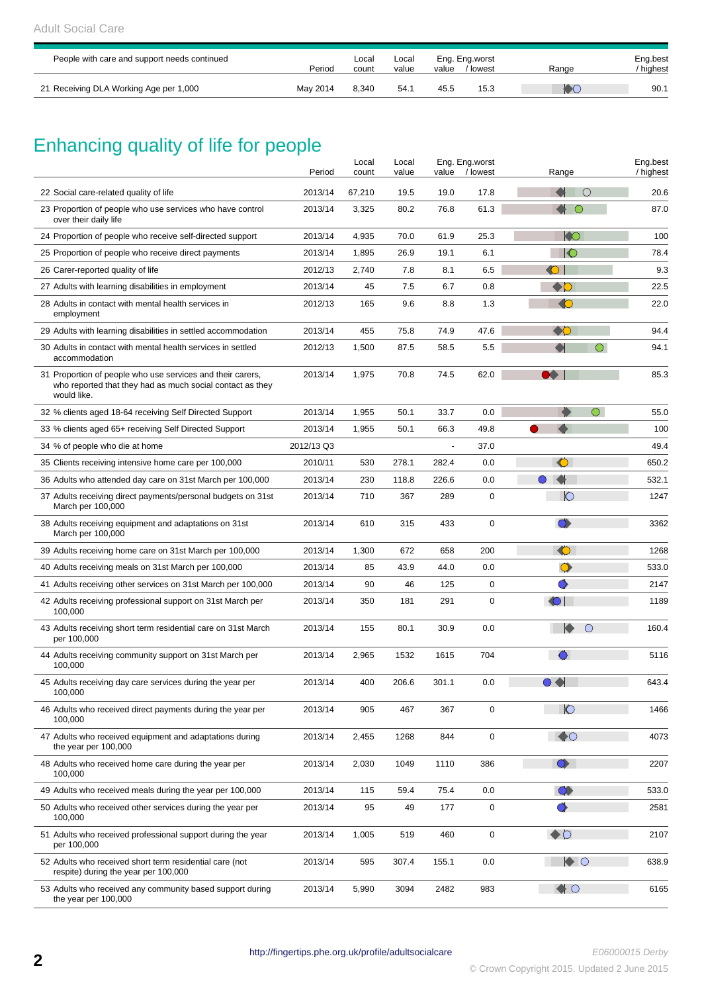| People with care and support needs continued | Period   | Local<br>count | Local<br>value | value | Eng. Eng.worst<br>/ lowest | Range | Eng.best<br>/ highest |
|----------------------------------------------|----------|----------------|----------------|-------|----------------------------|-------|-----------------------|
| 21 Receiving DLA Working Age per 1,000       | May 2014 | 8.340          | 54.1           | 45.5  | 15.3                       |       | 90.1                  |

# Enhancing quality of life for people

|                                                                                                                                        | Period     | Local<br>count | Local<br>value | value                    | Eng. Eng.worst<br>/ lowest | Range                               | Eng.best<br>/ highest |
|----------------------------------------------------------------------------------------------------------------------------------------|------------|----------------|----------------|--------------------------|----------------------------|-------------------------------------|-----------------------|
| 22 Social care-related quality of life                                                                                                 | 2013/14    | 67,210         | 19.5           | 19.0                     | 17.8                       | ◯                                   | 20.6                  |
| 23 Proportion of people who use services who have control<br>over their daily life                                                     | 2013/14    | 3,325          | 80.2           | 76.8                     | 61.3                       | ∩                                   | 87.0                  |
| 24 Proportion of people who receive self-directed support                                                                              | 2013/14    | 4,935          | 70.0           | 61.9                     | 25.3                       | KO                                  | 100                   |
| 25 Proportion of people who receive direct payments                                                                                    | 2013/14    | 1,895          | 26.9           | 19.1                     | 6.1                        | $\circ$                             | 78.4                  |
| 26 Carer-reported quality of life                                                                                                      | 2012/13    | 2,740          | 7.8            | 8.1                      | 6.5                        | $\bigcirc$                          | 9.3                   |
| 27 Adults with learning disabilities in employment                                                                                     | 2013/14    | 45             | 7.5            | 6.7                      | 0.8                        | $\clubsuit$                         | 22.5                  |
| 28 Adults in contact with mental health services in<br>employment                                                                      | 2012/13    | 165            | 9.6            | 8.8                      | 1.3                        | $\bigcirc$                          | 22.0                  |
| 29 Adults with learning disabilities in settled accommodation                                                                          | 2013/14    | 455            | 75.8           | 74.9                     | 47.6                       | $\bullet$                           | 94.4                  |
| 30 Adults in contact with mental health services in settled<br>accommodation                                                           | 2012/13    | 1,500          | 87.5           | 58.5                     | 5.5                        | $\bigcirc$                          | 94.1                  |
| 31 Proportion of people who use services and their carers,<br>who reported that they had as much social contact as they<br>would like. | 2013/14    | 1,975          | 70.8           | 74.5                     | 62.0                       | DO 1                                | 85.3                  |
| 32 % clients aged 18-64 receiving Self Directed Support                                                                                | 2013/14    | 1,955          | 50.1           | 33.7                     | 0.0                        | $\bigcirc$                          | 55.0                  |
| 33 % clients aged 65+ receiving Self Directed Support                                                                                  | 2013/14    | 1,955          | 50.1           | 66.3                     | 49.8                       |                                     | 100                   |
| 34 % of people who die at home                                                                                                         | 2012/13 Q3 |                |                | $\overline{\phantom{a}}$ | 37.0                       |                                     | 49.4                  |
| 35 Clients receiving intensive home care per 100,000                                                                                   | 2010/11    | 530            | 278.1          | 282.4                    | 0.0                        | ◐                                   | 650.2                 |
| 36 Adults who attended day care on 31st March per 100,000                                                                              | 2013/14    | 230            | 118.8          | 226.6                    | 0.0                        | K<br>$\bigcirc$                     | 532.1                 |
| 37 Adults receiving direct payments/personal budgets on 31st<br>March per 100,000                                                      | 2013/14    | 710            | 367            | 289                      | 0                          | $\circ$                             | 1247                  |
| 38 Adults receiving equipment and adaptations on 31st<br>March per 100,000                                                             | 2013/14    | 610            | 315            | 433                      | 0                          | $\bullet$                           | 3362                  |
| 39 Adults receiving home care on 31st March per 100,000                                                                                | 2013/14    | 1,300          | 672            | 658                      | 200                        | $\bullet$                           | 1268                  |
| 40 Adults receiving meals on 31st March per 100,000                                                                                    | 2013/14    | 85             | 43.9           | 44.0                     | 0.0                        | $\bullet$                           | 533.0                 |
| 41 Adults receiving other services on 31st March per 100,000                                                                           | 2013/14    | 90             | 46             | 125                      | 0                          |                                     | 2147                  |
| 42 Adults receiving professional support on 31st March per<br>100,000                                                                  | 2013/14    | 350            | 181            | 291                      | 0                          | $\bigcirc$                          | 1189                  |
| 43 Adults receiving short term residential care on 31st March<br>per 100,000                                                           | 2013/14    | 155            | 80.1           | 30.9                     | 0.0                        | $\blacktriangleright$<br>$\bigcirc$ | 160.4                 |
| 44 Adults receiving community support on 31st March per<br>100,000                                                                     | 2013/14    | 2,965          | 1532           | 1615                     | 704                        |                                     | 5116                  |
| 45 Adults receiving day care services during the year per<br>100,000                                                                   | 2013/14    | 400            | 206.6          | 301.1                    | 0.0                        | $\blacklozenge$<br>$\bigcirc$       | 643.4                 |
| 46 Adults who received direct payments during the year per<br>100,000                                                                  | 2013/14    | 905            | 467            | 367                      | 0                          | $\circ$                             | 1466                  |
| 47 Adults who received equipment and adaptations during<br>the year per 100,000                                                        | 2013/14    | 2,455          | 1268           | 844                      | 0                          | $\bigcirc$                          | 4073                  |
| 48 Adults who received home care during the year per<br>100,000                                                                        | 2013/14    | 2,030          | 1049           | 1110                     | 386                        | $\bullet$                           | 2207                  |
| 49 Adults who received meals during the year per 100,000                                                                               | 2013/14    | 115            | 59.4           | 75.4                     | 0.0                        | $\bullet$                           | 533.0                 |
| 50 Adults who received other services during the year per<br>100,000                                                                   | 2013/14    | 95             | 49             | 177                      | 0                          | $\bullet$                           | 2581                  |
| 51 Adults who received professional support during the year<br>per 100,000                                                             | 2013/14    | 1,005          | 519            | 460                      | 0                          | $\bullet$                           | 2107                  |
| 52 Adults who received short term residential care (not<br>respite) during the year per 100,000                                        | 2013/14    | 595            | 307.4          | 155.1                    | 0.0                        | $\bullet$ O                         | 638.9                 |
| 53 Adults who received any community based support during<br>the year per 100,000                                                      | 2013/14    | 5,990          | 3094           | 2482                     | 983                        | $\bullet$ O                         | 6165                  |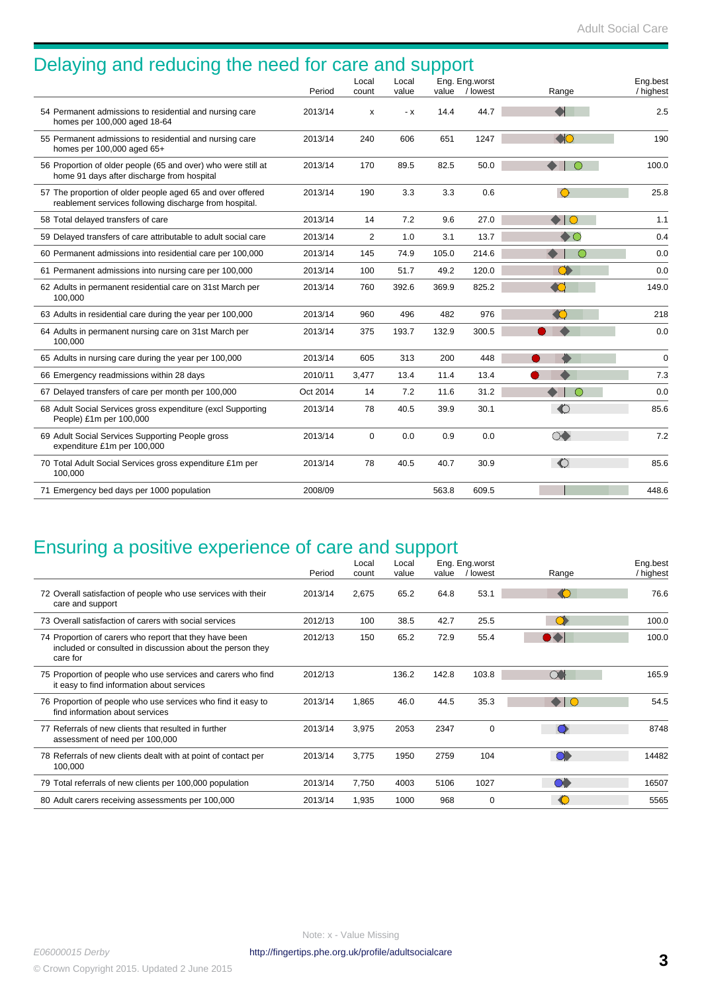| Delaying and reducing the need for care and support                                                                  |          | Local       | Local |       | Eng. Eng.worst |                         | Eng.best<br>/ highest |
|----------------------------------------------------------------------------------------------------------------------|----------|-------------|-------|-------|----------------|-------------------------|-----------------------|
|                                                                                                                      | Period   | count       | value |       | value / lowest | Range                   |                       |
| 54 Permanent admissions to residential and nursing care<br>homes per 100,000 aged 18-64                              | 2013/14  | х           | - x   | 14.4  | 44.7           | $\blacktriangleleft$    | 2.5                   |
| 55 Permanent admissions to residential and nursing care<br>homes per 100,000 aged 65+                                | 2013/14  | 240         | 606   | 651   | 1247           | $\bigcirc$              | 190                   |
| 56 Proportion of older people (65 and over) who were still at<br>home 91 days after discharge from hospital          | 2013/14  | 170         | 89.5  | 82.5  | 50.0           | $\bullet$ $\circ$       | 100.0                 |
| 57 The proportion of older people aged 65 and over offered<br>reablement services following discharge from hospital. | 2013/14  | 190         | 3.3   | 3.3   | 0.6            | $\bigcirc$              | 25.8                  |
| 58 Total delayed transfers of care                                                                                   | 2013/14  | 14          | 7.2   | 9.6   | 27.0           | $\bullet$ 10            | 1.1                   |
| 59 Delayed transfers of care attributable to adult social care                                                       | 2013/14  | 2           | 1.0   | 3.1   | 13.7           | $\bullet$               | 0.4                   |
| 60 Permanent admissions into residential care per 100,000                                                            | 2013/14  | 145         | 74.9  | 105.0 | 214.6          | $\bigcirc$              | 0.0                   |
| 61 Permanent admissions into nursing care per 100,000                                                                | 2013/14  | 100         | 51.7  | 49.2  | 120.0          | $\bullet$               | 0.0                   |
| 62 Adults in permanent residential care on 31st March per<br>100,000                                                 | 2013/14  | 760         | 392.6 | 369.9 | 825.2          | $\triangle$             | 149.0                 |
| 63 Adults in residential care during the year per 100,000                                                            | 2013/14  | 960         | 496   | 482   | 976            | $\bigcap$               | 218                   |
| 64 Adults in permanent nursing care on 31st March per<br>100.000                                                     | 2013/14  | 375         | 193.7 | 132.9 | 300.5          |                         | 0.0                   |
| 65 Adults in nursing care during the year per 100,000                                                                | 2013/14  | 605         | 313   | 200   | 448            |                         | $\mathbf 0$           |
| 66 Emergency readmissions within 28 days                                                                             | 2010/11  | 3,477       | 13.4  | 11.4  | 13.4           |                         | 7.3                   |
| 67 Delayed transfers of care per month per 100,000                                                                   | Oct 2014 | 14          | 7.2   | 11.6  | 31.2           | $\bigcirc$<br>$\bullet$ | 0.0                   |
| 68 Adult Social Services gross expenditure (excl Supporting<br>People) £1m per 100,000                               | 2013/14  | 78          | 40.5  | 39.9  | 30.1           | $\bullet$               | 85.6                  |
| 69 Adult Social Services Supporting People gross<br>expenditure £1m per 100,000                                      | 2013/14  | $\mathbf 0$ | 0.0   | 0.9   | 0.0            | $\circlearrowright$     | 7.2                   |
| 70 Total Adult Social Services gross expenditure £1m per<br>100,000                                                  | 2013/14  | 78          | 40.5  | 40.7  | 30.9           | $\bullet$               | 85.6                  |
| 71 Emergency bed days per 1000 population                                                                            | 2008/09  |             |       | 563.8 | 609.5          |                         | 448.6                 |

# Ensuring a positive experience of care and support

|                                                                                                                                 | Period  | Local<br>count | Local<br>value | value | Eng. Eng.worst<br>/ lowest | Range             | Eng.best<br>/ highest |
|---------------------------------------------------------------------------------------------------------------------------------|---------|----------------|----------------|-------|----------------------------|-------------------|-----------------------|
|                                                                                                                                 |         |                |                |       |                            |                   |                       |
| 72 Overall satisfaction of people who use services with their<br>care and support                                               | 2013/14 | 2,675          | 65.2           | 64.8  | 53.1                       | $\binom{1}{k}$    | 76.6                  |
| 73 Overall satisfaction of carers with social services                                                                          | 2012/13 | 100            | 38.5           | 42.7  | 25.5                       | $\bullet$         | 100.0                 |
| 74 Proportion of carers who report that they have been<br>included or consulted in discussion about the person they<br>care for | 2012/13 | 150            | 65.2           | 72.9  | 55.4                       | $\bullet \bullet$ | 100.0                 |
| 75 Proportion of people who use services and carers who find<br>it easy to find information about services                      | 2012/13 |                | 136.2          | 142.8 | 103.8                      | $\infty$          | 165.9                 |
| 76 Proportion of people who use services who find it easy to<br>find information about services                                 | 2013/14 | 1,865          | 46.0           | 44.5  | 35.3                       | $\bullet$ IO      | 54.5                  |
| 77 Referrals of new clients that resulted in further<br>assessment of need per 100,000                                          | 2013/14 | 3,975          | 2053           | 2347  | $\Omega$                   | ∩                 | 8748                  |
| 78 Referrals of new clients dealt with at point of contact per<br>100,000                                                       | 2013/14 | 3,775          | 1950           | 2759  | 104                        | $\bullet$         | 14482                 |
| 79 Total referrals of new clients per 100,000 population                                                                        | 2013/14 | 7,750          | 4003           | 5106  | 1027                       | $\bullet$         | 16507                 |
| 80 Adult carers receiving assessments per 100,000                                                                               | 2013/14 | 1,935          | 1000           | 968   | $\mathbf 0$                | €                 | 5565                  |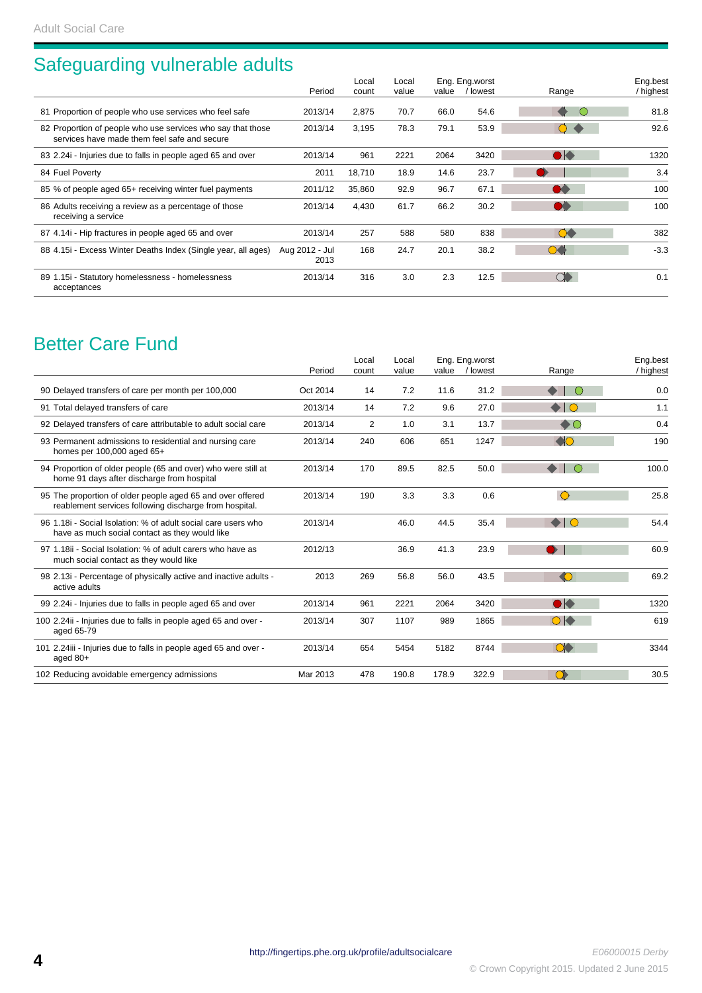## Safeguarding vulnerable adults

|                                                                                                             | Period                 | Local<br>count | Local<br>value | value | Eng. Eng.worst<br>/ lowest | Range                                               | Eng.best<br>/ highest |
|-------------------------------------------------------------------------------------------------------------|------------------------|----------------|----------------|-------|----------------------------|-----------------------------------------------------|-----------------------|
| 81 Proportion of people who use services who feel safe                                                      | 2013/14                | 2,875          | 70.7           | 66.0  | 54.6                       | $\left( \begin{array}{c} \cdot \end{array} \right)$ | 81.8                  |
| 82 Proportion of people who use services who say that those<br>services have made them feel safe and secure | 2013/14                | 3,195          | 78.3           | 79.1  | 53.9                       |                                                     | 92.6                  |
| 83 2.24 i- Injuries due to falls in people aged 65 and over                                                 | 2013/14                | 961            | 2221           | 2064  | 3420                       | $\bullet\bullet$                                    | 1320                  |
| 84 Fuel Poverty                                                                                             | 2011                   | 18,710         | 18.9           | 14.6  | 23.7                       |                                                     | 3.4                   |
| 85 % of people aged 65+ receiving winter fuel payments                                                      | 2011/12                | 35,860         | 92.9           | 96.7  | 67.1                       | $\bullet\bullet$                                    | 100                   |
| 86 Adults receiving a review as a percentage of those<br>receiving a service                                | 2013/14                | 4,430          | 61.7           | 66.2  | 30.2                       | DÀ                                                  | 100                   |
| 87 4.14 - Hip fractures in people aged 65 and over                                                          | 2013/14                | 257            | 588            | 580   | 838                        | $\bullet$                                           | 382                   |
| 88 4.15i - Excess Winter Deaths Index (Single year, all ages)                                               | Aug 2012 - Jul<br>2013 | 168            | 24.7           | 20.1  | 38.2                       | $\bullet$                                           | $-3.3$                |
| 89 1.15 i- Statutory homelessness - homelessness<br>acceptances                                             | 2013/14                | 316            | 3.0            | 2.3   | 12.5                       | $\circlearrowleft$                                  | 0.1                   |

### Better Care Fund

|                                                                                                                      |          | Local | Local |       | Eng. Eng.worst |                                    | Eng.best  |
|----------------------------------------------------------------------------------------------------------------------|----------|-------|-------|-------|----------------|------------------------------------|-----------|
|                                                                                                                      | Period   | count | value | value | / lowest       | Range                              | / highest |
| 90 Delayed transfers of care per month per 100,000                                                                   | Oct 2014 | 14    | 7.2   | 11.6  | 31.2           |                                    | 0.0       |
| 91 Total delayed transfers of care                                                                                   | 2013/14  | 14    | 7.2   | 9.6   | 27.0           | $\bullet$ $\circ$                  | 1.1       |
| 92 Delayed transfers of care attributable to adult social care                                                       | 2013/14  | 2     | 1.0   | 3.1   | 13.7           | $\bullet$                          | 0.4       |
| 93 Permanent admissions to residential and nursing care<br>homes per 100,000 aged 65+                                | 2013/14  | 240   | 606   | 651   | 1247           | $\bigcirc$                         | 190       |
| 94 Proportion of older people (65 and over) who were still at<br>home 91 days after discharge from hospital          | 2013/14  | 170   | 89.5  | 82.5  | 50.0           | $\blacklozenge$<br>– ∩             | 100.0     |
| 95 The proportion of older people aged 65 and over offered<br>reablement services following discharge from hospital. | 2013/14  | 190   | 3.3   | 3.3   | 0.6            | $\bigcirc$                         | 25.8      |
| 96 1.18 i- Social Isolation: % of adult social care users who<br>have as much social contact as they would like      | 2013/14  |       | 46.0  | 44.5  | 35.4           | $\bullet$<br>$\overline{\bigcirc}$ | 54.4      |
| 97 1.18ij - Social Isolation: % of adult carers who have as<br>much social contact as they would like                | 2012/13  |       | 36.9  | 41.3  | 23.9           |                                    | 60.9      |
| 98 2.13i - Percentage of physically active and inactive adults -<br>active adults                                    | 2013     | 269   | 56.8  | 56.0  | 43.5           | $\bullet$                          | 69.2      |
| 99 2.24 - Injuries due to falls in people aged 65 and over                                                           | 2013/14  | 961   | 2221  | 2064  | 3420           | $\bullet\blacktriangleright$       | 1320      |
| 100 2.24ii - Injuries due to falls in people aged 65 and over -<br>aged 65-79                                        | 2013/14  | 307   | 1107  | 989   | 1865           | $\bigcirc$                         | 619       |
| 101 2.24iii - Injuries due to falls in people aged 65 and over -<br>aged $80+$                                       | 2013/14  | 654   | 5454  | 5182  | 8744           | $\alpha$                           | 3344      |
| 102 Reducing avoidable emergency admissions                                                                          | Mar 2013 | 478   | 190.8 | 178.9 | 322.9          | $\bullet$                          | 30.5      |
|                                                                                                                      |          |       |       |       |                |                                    |           |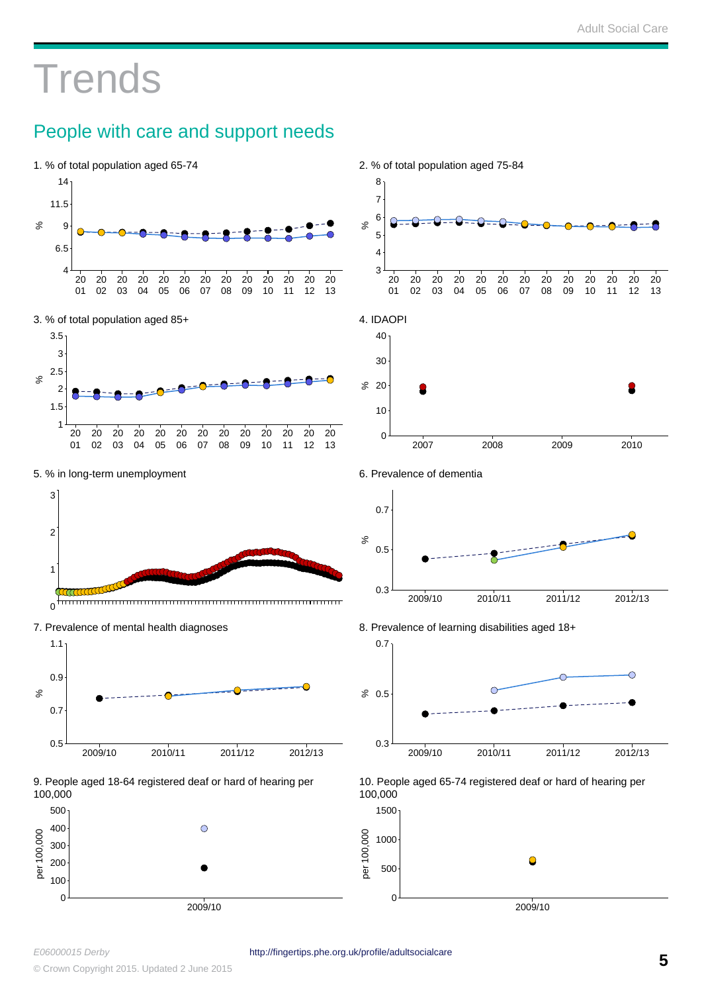# **Trends**

### People with care and support needs

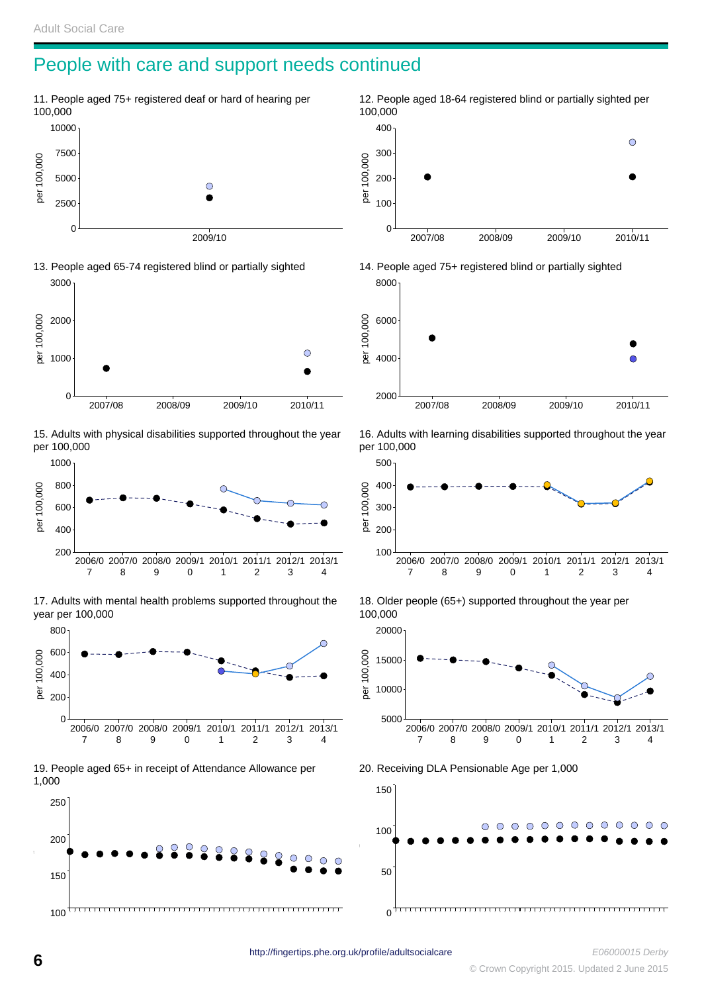#### People with care and support needs continued







15. Adults with physical disabilities supported throughout the year per 100,000



17. Adults with mental health problems supported throughout the year per 100,000



19. People aged 65+ in receipt of Attendance Allowance per 1,000



12. People aged 18-64 registered blind or partially sighted per 100,000  $\bigcirc$  per 100,000  $\overline{0}$ 2007/08 2008/09 2009/10 2010/11



16. Adults with learning disabilities supported throughout the year per 100,000



18. Older people (65+) supported throughout the year per 100,000



20. Receiving DLA Pensionable Age per 1,000

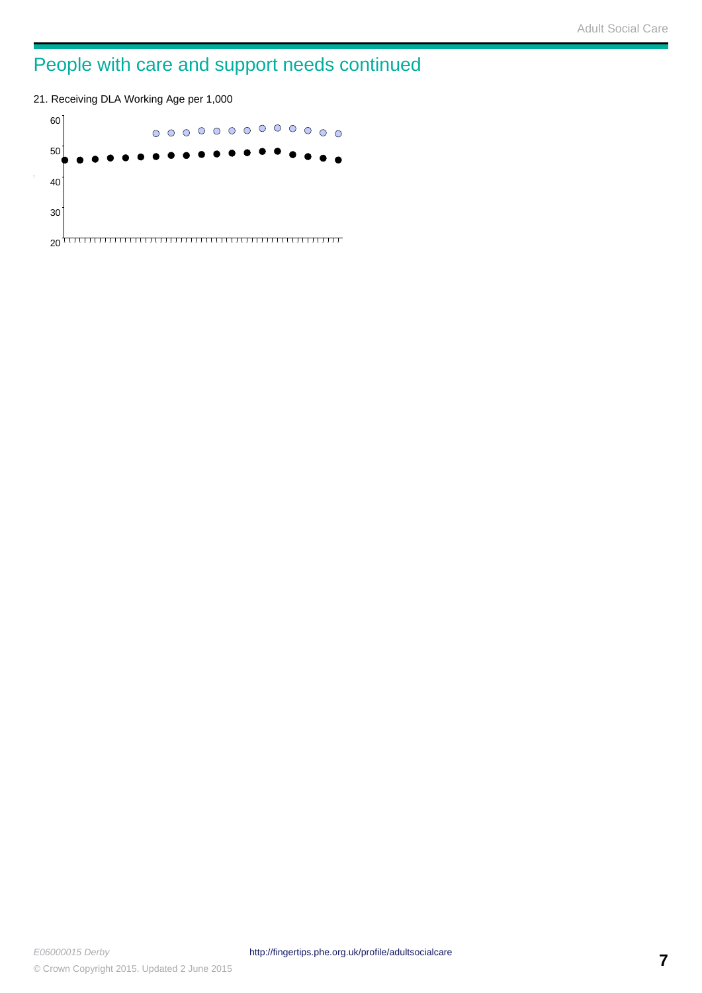# People with care and support needs continued

21. Receiving DLA Working Age per 1,000

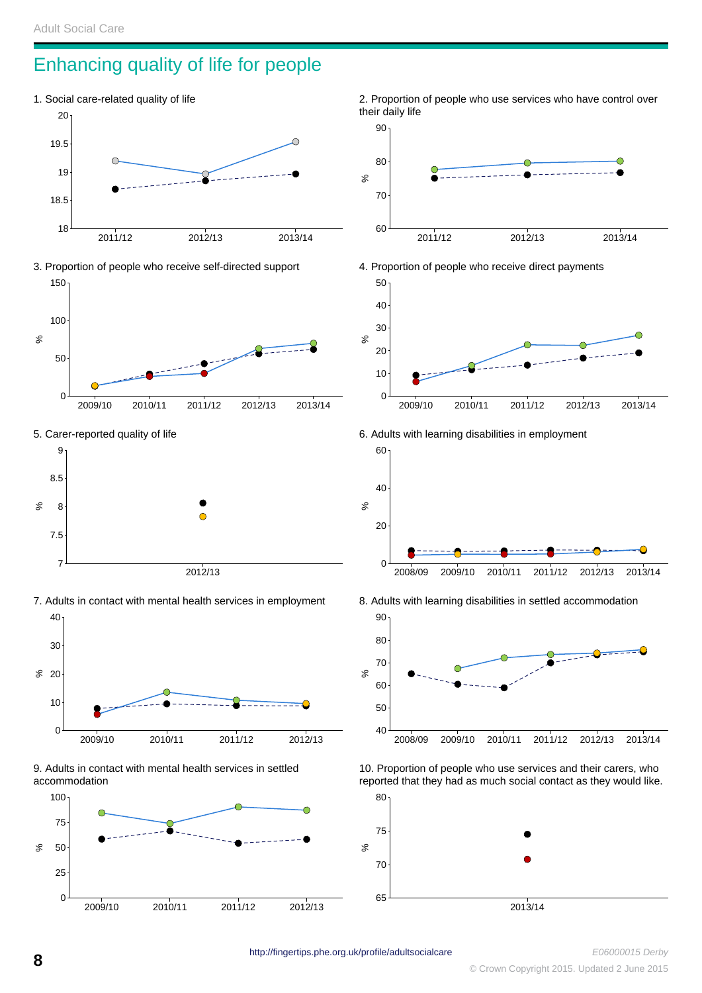#### Enhancing quality of life for people





5. Carer-reported quality of life



7. Adults in contact with mental health services in employment













6. Adults with learning disabilities in employment



8. Adults with learning disabilities in settled accommodation



10. Proportion of people who use services and their carers, who reported that they had as much social contact as they would like.

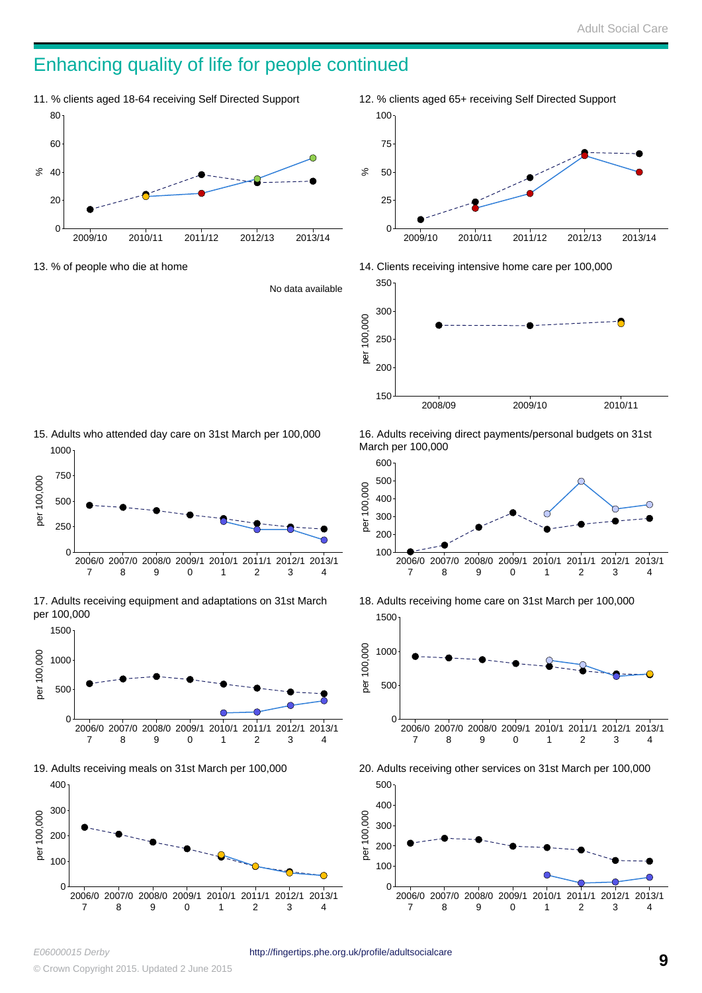#### Enhancing quality of life for people continued



13. % of people who die at home

No data available





15. Adults who attended day care on 31st March per 100,000 1000



17. Adults receiving equipment and adaptations on 31st March per 100,000



19. Adults receiving meals on 31st March per 100,000



16. Adults receiving direct payments/personal budgets on 31st March per 100,000







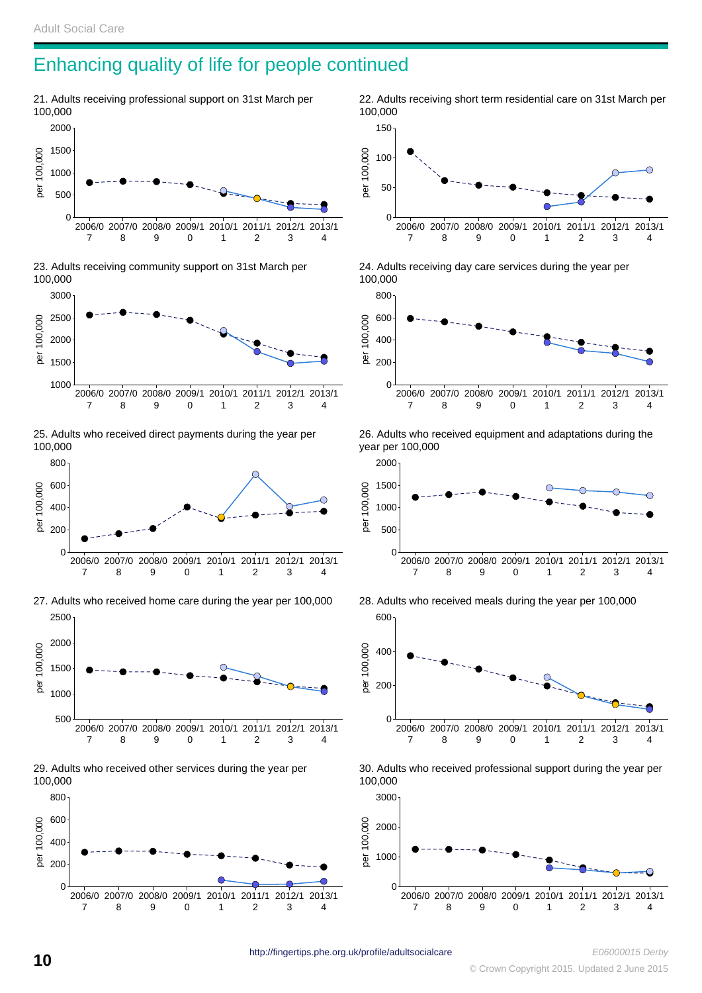#### Enhancing quality of life for people continued

21. Adults receiving professional support on 31st March per 100,000







25. Adults who received direct payments during the year per 100,000



27. Adults who received home care during the year per 100,000 2500







22. Adults receiving short term residential care on 31st March per 100,000



24. Adults receiving day care services during the year per 100,000



26. Adults who received equipment and adaptations during the year per 100,000



28. Adults who received meals during the year per 100,000



30. Adults who received professional support during the year per 100,000



http://fingertips.phe.org.uk/profile/adultsocialcare E06000015 Derby<br>Crown Copyright 2015. Updated 2 June 2015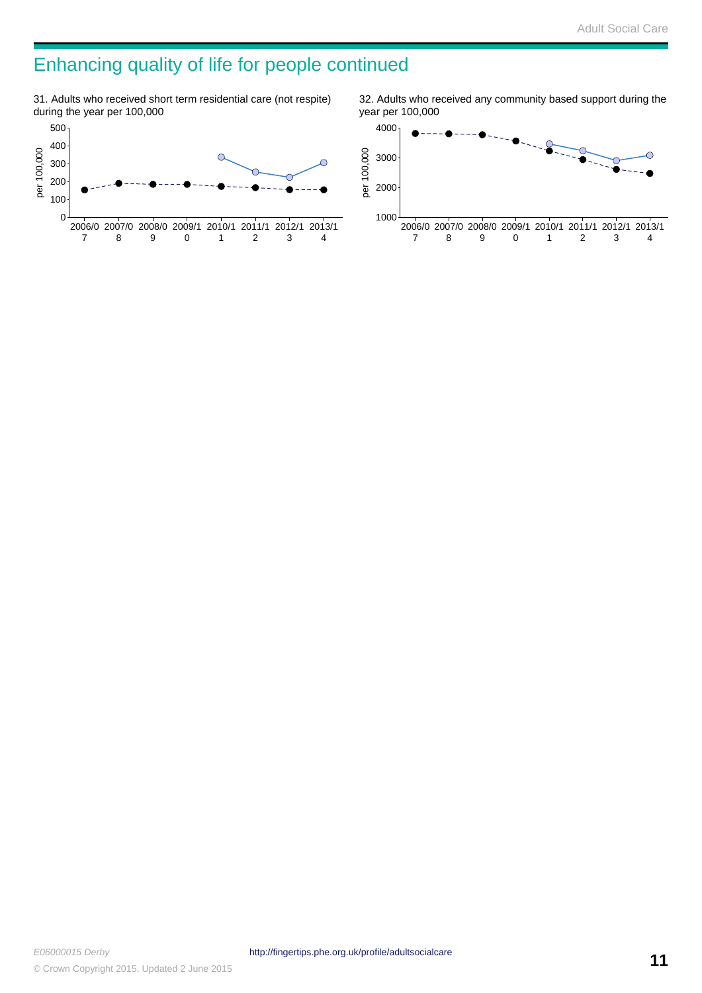### Enhancing quality of life for people continued

31. Adults who received short term residential care (not respite) during the year per 100,000



32. Adults who received any community based support during the year per 100,000

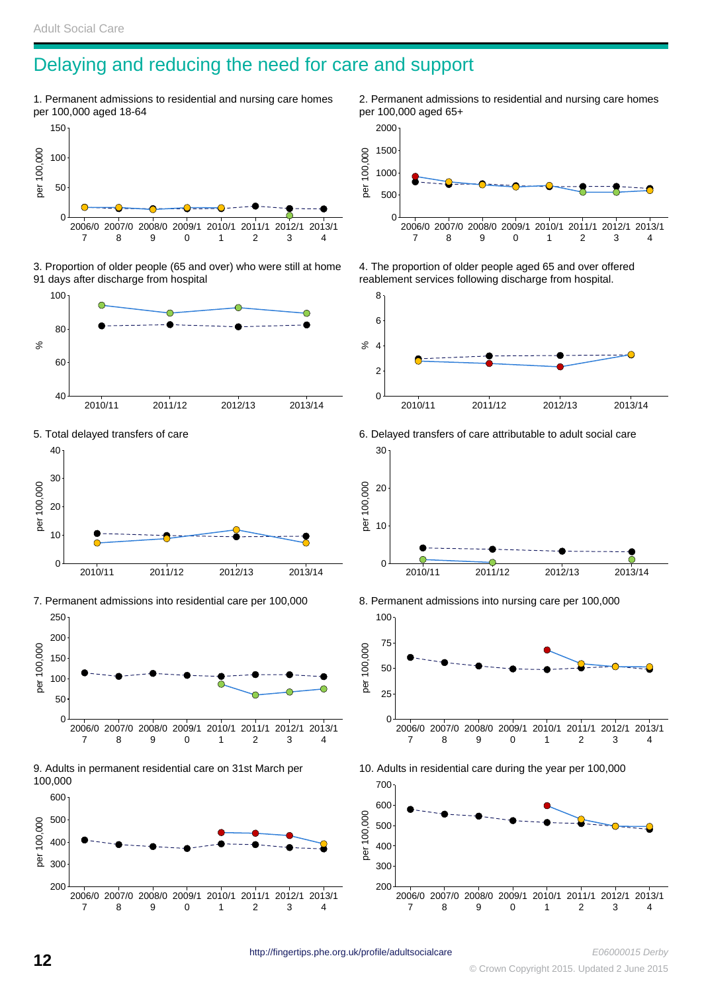#### Delaying and reducing the need for care and support

1. Permanent admissions to residential and nursing care homes per 100,000 aged 18-64



3. Proportion of older people (65 and over) who were still at home 91 days after discharge from hospital







7. Permanent admissions into residential care per 100,000



9. Adults in permanent residential care on 31st March per 100,000



2. Permanent admissions to residential and nursing care homes per 100,000 aged 65+



4. The proportion of older people aged 65 and over offered reablement services following discharge from hospital.





700

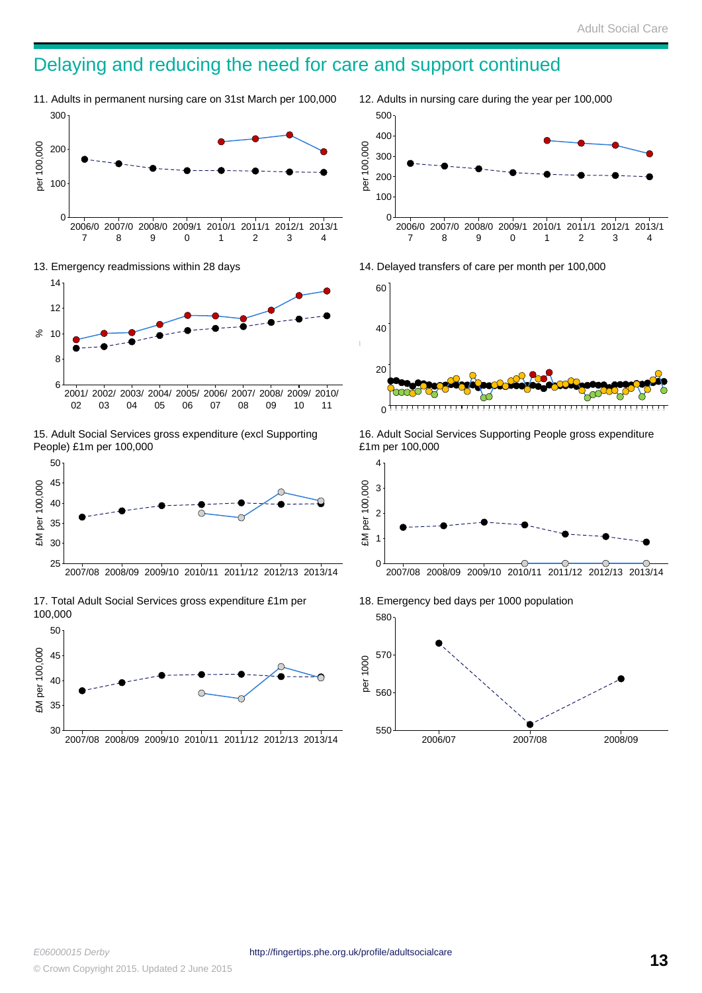#### Delaying and reducing the need for care and support continued

11. Adults in permanent nursing care on 31st March per 100,000



13. Emergency readmissions within 28 days



15. Adult Social Services gross expenditure (excl Supporting People) £1m per 100,000



17. Total Adult Social Services gross expenditure £1m per 100,000



12. Adults in nursing care during the year per 100,000 per 100,000 



14. Delayed transfers of care per month per 100,000



16. Adult Social Services Supporting People gross expenditure £1m per 100,000



18. Emergency bed days per 1000 population per 1000 

2006/07 2007/08 2008/09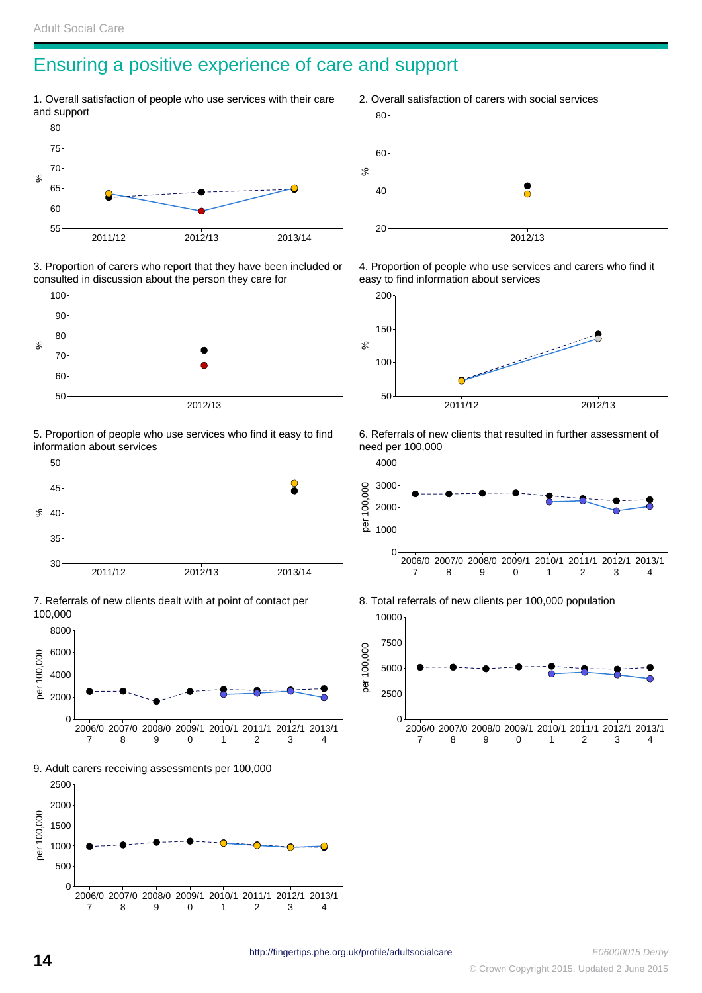#### Ensuring a positive experience of care and support

1. Overall satisfaction of people who use services with their care and support



3. Proportion of carers who report that they have been included or consulted in discussion about the person they care for



5. Proportion of people who use services who find it easy to find information about services



7. Referrals of new clients dealt with at point of contact per 100,000



9. Adult carers receiving assessments per 100,000



2. Overall satisfaction of carers with social services  $\aleph$  2012/13

4. Proportion of people who use services and carers who find it easy to find information about services



6. Referrals of new clients that resulted in further assessment of need per 100,000



8. Total referrals of new clients per 100,000 population

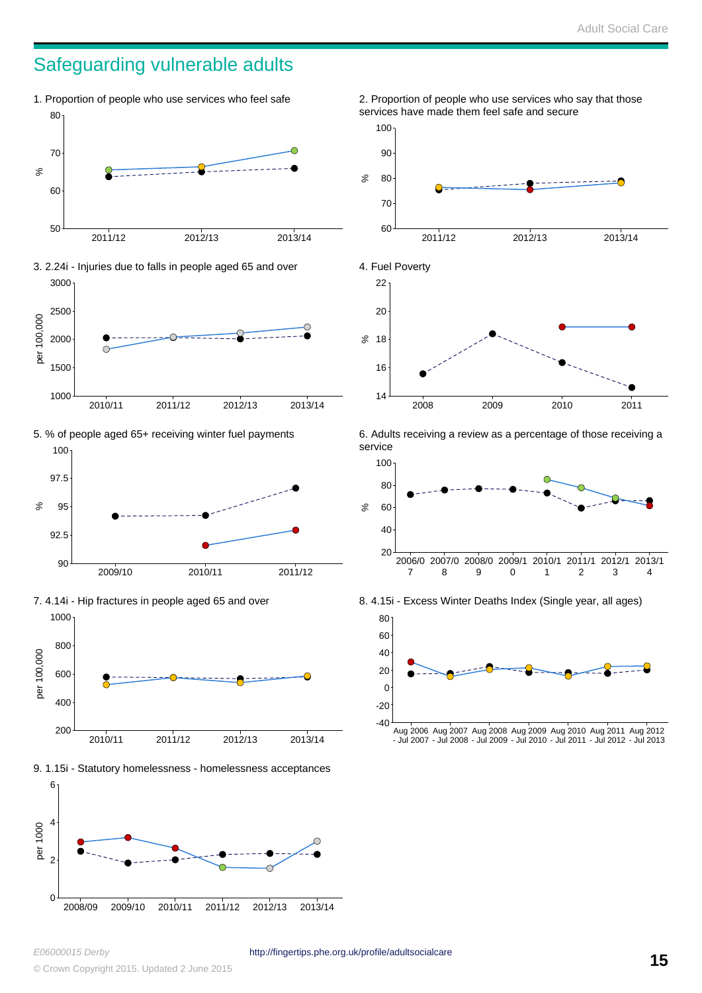#### Safeguarding vulnerable adults





2011/12 2012/13 2013/14















6. Adults receiving a review as a percentage of those receiving a service



8. 4.15i - Excess Winter Deaths Index (Single year, all ages)



Aug 2006 Aug 2007 Aug 2008 Aug 2009 Aug 2010 Aug 2011 Aug 2012 - Jul 2007 - Jul 2008 - Jul 2009 - Jul 2010 - Jul 2011 - Jul 2012 - Jul 2013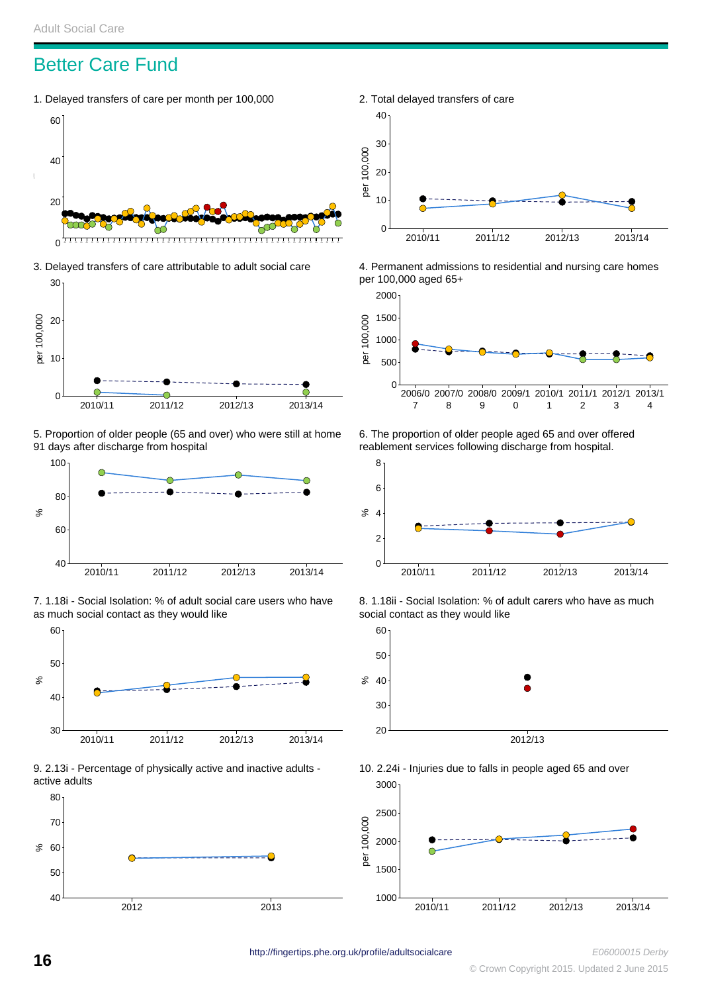#### Better Care Fund

1. Delayed transfers of care per month per 100,000



3. Delayed transfers of care attributable to adult social care



5. Proportion of older people (65 and over) who were still at home 91 days after discharge from hospital



7. 1.18i - Social Isolation: % of adult social care users who have as much social contact as they would like



9. 2.13i - Percentage of physically active and inactive adults active adults





4. Permanent admissions to residential and nursing care homes per 100,000 aged 65+



6. The proportion of older people aged 65 and over offered reablement services following discharge from hospital.



8. 1.18ii - Social Isolation: % of adult carers who have as much social contact as they would like